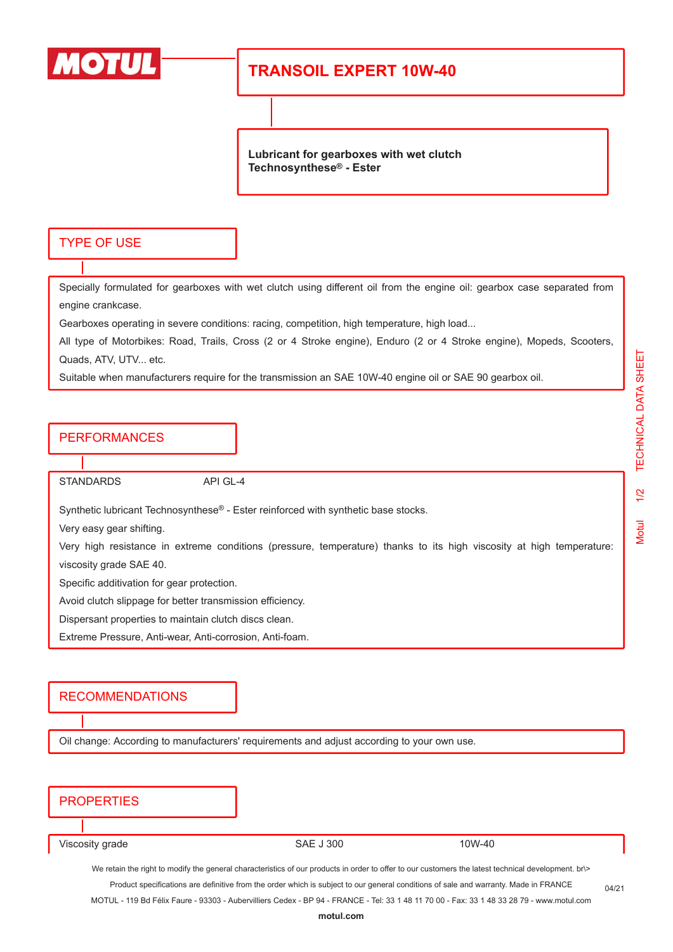

# **TRANSOIL EXPERT 10W-40**

**Lubricant for gearboxes with wet clutch Technosynthese® - Ester**

### TYPE OF USE

Specially formulated for gearboxes with wet clutch using different oil from the engine oil: gearbox case separated from engine crankcase.

Gearboxes operating in severe conditions: racing, competition, high temperature, high load...

All type of Motorbikes: Road, Trails, Cross (2 or 4 Stroke engine), Enduro (2 or 4 Stroke engine), Mopeds, Scooters, Quads, ATV, UTV... etc.

Suitable when manufacturers require for the transmission an SAE 10W-40 engine oil or SAE 90 gearbox oil.

#### PERFORMANCES

STANDARDS API GL-4

Synthetic lubricant Technosynthese<sup>®</sup> - Ester reinforced with synthetic base stocks.

Very easy gear shifting.

Very high resistance in extreme conditions (pressure, temperature) thanks to its high viscosity at high temperature: viscosity grade SAE 40.

Specific additivation for gear protection.

Avoid clutch slippage for better transmission efficiency.

Dispersant properties to maintain clutch discs clean.

Extreme Pressure, Anti-wear, Anti-corrosion, Anti-foam.

#### RECOMMENDATIONS

Oil change: According to manufacturers' requirements and adjust according to your own use.

| <b>PROPERTIES</b>                                                                                                                                   |                  |        |  |  |  |
|-----------------------------------------------------------------------------------------------------------------------------------------------------|------------------|--------|--|--|--|
|                                                                                                                                                     |                  |        |  |  |  |
|                                                                                                                                                     |                  |        |  |  |  |
| Viscosity grade                                                                                                                                     | <b>SAE J 300</b> | 10W-40 |  |  |  |
| We retain the right to modify the general characteristics of our products in order to offer to our customers the latest technical development. br\> |                  |        |  |  |  |
| Product specifications are definitive from the order which is subject to our general conditions of sale and warranty. Made in FRANCE<br>04/21       |                  |        |  |  |  |
| MOTUL - 119 Bd Félix Faure - 93303 - Aubervilliers Cedex - BP 94 - FRANCE - Tel: 33 1 48 11 70 00 - Fax: 33 1 48 33 28 79 - www.motul.com           |                  |        |  |  |  |
| motul.com                                                                                                                                           |                  |        |  |  |  |